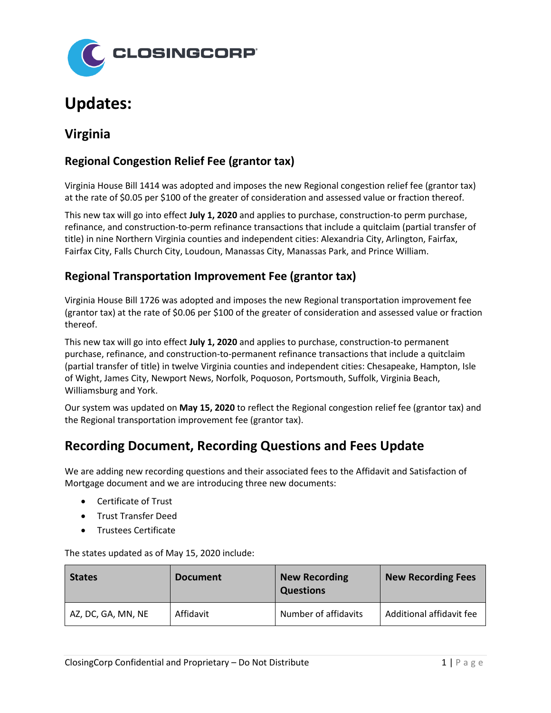

# **Updates:**

## **Virginia**

### **Regional Congestion Relief Fee (grantor tax)**

Virginia House Bill 1414 was adopted and imposes the new Regional congestion relief fee (grantor tax) at the rate of \$0.05 per \$100 of the greater of consideration and assessed value or fraction thereof.

This new tax will go into effect **July 1, 2020** and applies to purchase, construction-to perm purchase, refinance, and construction-to-perm refinance transactions that include a quitclaim (partial transfer of title) in nine Northern Virginia counties and independent cities: Alexandria City, Arlington, Fairfax, Fairfax City, Falls Church City, Loudoun, Manassas City, Manassas Park, and Prince William.

#### **Regional Transportation Improvement Fee (grantor tax)**

Virginia House Bill 1726 was adopted and imposes the new Regional transportation improvement fee (grantor tax) at the rate of \$0.06 per \$100 of the greater of consideration and assessed value or fraction thereof.

This new tax will go into effect **July 1, 2020** and applies to purchase, construction-to permanent purchase, refinance, and construction-to-permanent refinance transactions that include a quitclaim (partial transfer of title) in twelve Virginia counties and independent cities: Chesapeake, Hampton, Isle of Wight, James City, Newport News, Norfolk, Poquoson, Portsmouth, Suffolk, Virginia Beach, Williamsburg and York.

Our system was updated on **May 15, 2020** to reflect the Regional congestion relief fee (grantor tax) and the Regional transportation improvement fee (grantor tax).

## **Recording Document, Recording Questions and Fees Update**

We are adding new recording questions and their associated fees to the Affidavit and Satisfaction of Mortgage document and we are introducing three new documents:

- Certificate of Trust
- Trust Transfer Deed
- Trustees Certificate

The states updated as of May 15, 2020 include:

| <b>States</b>      | <b>Document</b> | <b>New Recording</b><br><b>Questions</b> | <b>New Recording Fees</b> |
|--------------------|-----------------|------------------------------------------|---------------------------|
| AZ, DC, GA, MN, NE | Affidavit       | Number of affidavits                     | Additional affidavit fee  |